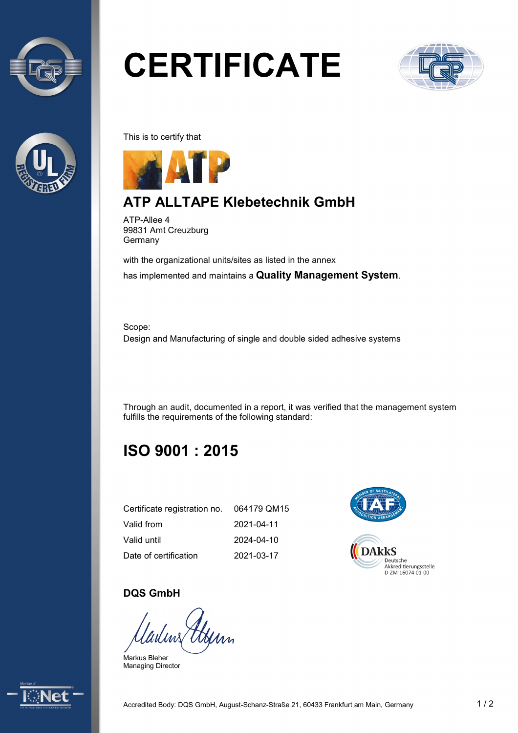



# **CERTIFICATE**



This is to certify that



### **ATP ALLTAPE Klebetechnik GmbH**

ATP-Allee 4 99831 Amt Creuzburg Germany

with the organizational units/sites as listed in the annex has implemented and maintains a **Quality Management System**.

Scope: Design and Manufacturing of single and double sided adhesive systems

Through an audit, documented in a report, it was verified that the management system fulfills the requirements of the following standard:

# **ISO 9001 : 2015**

| Certificate registration no. | 064179 QM15 |
|------------------------------|-------------|
| Valid from                   | 2021-04-11  |
| Valid until                  | 2024-04-10  |
| Date of certification        | 2021-03-17  |



#### **DQS GmbH**

Gerry

Markus Bleher Managing Director